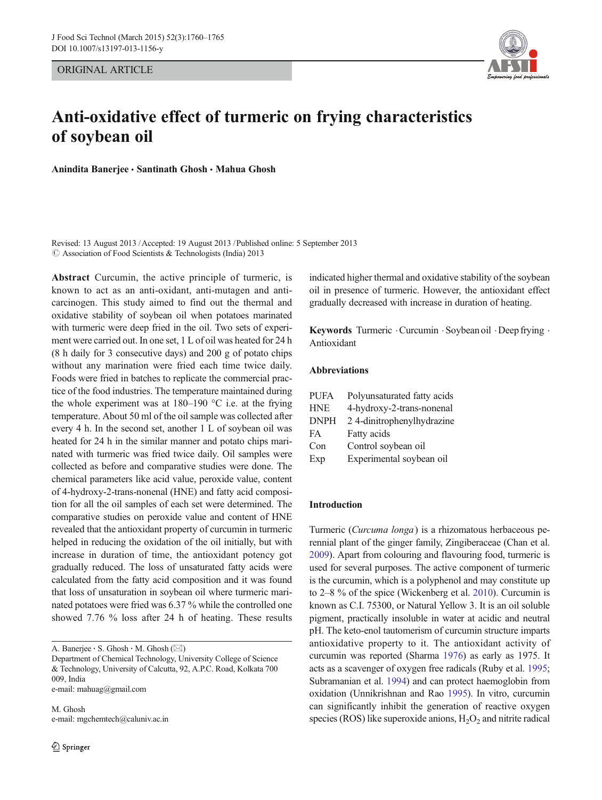ORIGINAL ARTICLE



# Anti-oxidative effect of turmeric on frying characteristics of soybean oil

Anindita Banerjee · Santinath Ghosh · Mahua Ghosh

Revised: 13 August 2013 /Accepted: 19 August 2013 / Published online: 5 September 2013  $\oslash$  Association of Food Scientists & Technologists (India) 2013

Abstract Curcumin, the active principle of turmeric, is known to act as an anti-oxidant, anti-mutagen and anticarcinogen. This study aimed to find out the thermal and oxidative stability of soybean oil when potatoes marinated with turmeric were deep fried in the oil. Two sets of experiment were carried out. In one set, 1 L of oil was heated for 24 h (8 h daily for 3 consecutive days) and 200 g of potato chips without any marination were fried each time twice daily. Foods were fried in batches to replicate the commercial practice of the food industries. The temperature maintained during the whole experiment was at  $180-190$  °C i.e. at the frying temperature. About 50 ml of the oil sample was collected after every 4 h. In the second set, another 1 L of soybean oil was heated for 24 h in the similar manner and potato chips marinated with turmeric was fried twice daily. Oil samples were collected as before and comparative studies were done. The chemical parameters like acid value, peroxide value, content of 4-hydroxy-2-trans-nonenal (HNE) and fatty acid composition for all the oil samples of each set were determined. The comparative studies on peroxide value and content of HNE revealed that the antioxidant property of curcumin in turmeric helped in reducing the oxidation of the oil initially, but with increase in duration of time, the antioxidant potency got gradually reduced. The loss of unsaturated fatty acids were calculated from the fatty acid composition and it was found that loss of unsaturation in soybean oil where turmeric marinated potatoes were fried was 6.37 % while the controlled one showed 7.76 % loss after 24 h of heating. These results

e-mail: mahuag@gmail.com

M. Ghosh e-mail: mgchemtech@caluniv.ac.in indicated higher thermal and oxidative stability of the soybean oil in presence of turmeric. However, the antioxidant effect gradually decreased with increase in duration of heating.

Keywords Turmeric . Curcumin . Soybean oil . Deep frying . Antioxidant

## Abbreviations

| <b>PUFA</b> | Polyunsaturated fatty acids |
|-------------|-----------------------------|
| <b>HNE</b>  | 4-hydroxy-2-trans-nonenal   |
| <b>DNPH</b> | 2 4-dinitrophenylhydrazine  |
| <b>FA</b>   | Fatty acids                 |
| Con         | Control soybean oil         |
| Exp         | Experimental soybean oil    |

## Introduction

Turmeric (Curcuma longa) is a rhizomatous herbaceous perennial plant of the ginger family, Zingiberaceae (Chan et al. [2009\)](#page-5-0). Apart from colouring and flavouring food, turmeric is used for several purposes. The active component of turmeric is the curcumin, which is a polyphenol and may constitute up to 2–8 % of the spice (Wickenberg et al. [2010\)](#page-5-0). Curcumin is known as C.I. 75300, or Natural Yellow 3. It is an oil soluble pigment, practically insoluble in water at acidic and neutral pH. The keto-enol tautomerism of curcumin structure imparts antioxidative property to it. The antioxidant activity of curcumin was reported (Sharma [1976](#page-5-0)) as early as 1975. It acts as a scavenger of oxygen free radicals (Ruby et al. [1995;](#page-5-0) Subramanian et al. [1994](#page-5-0)) and can protect haemoglobin from oxidation (Unnikrishnan and Rao [1995\)](#page-5-0). In vitro, curcumin can significantly inhibit the generation of reactive oxygen species (ROS) like superoxide anions,  $H_2O_2$  and nitrite radical

A. Banerjee  $\cdot$  S. Ghosh  $\cdot$  M. Ghosh ( $\boxtimes$ )

Department of Chemical Technology, University College of Science & Technology, University of Calcutta, 92, A.P.C. Road, Kolkata 700 009, India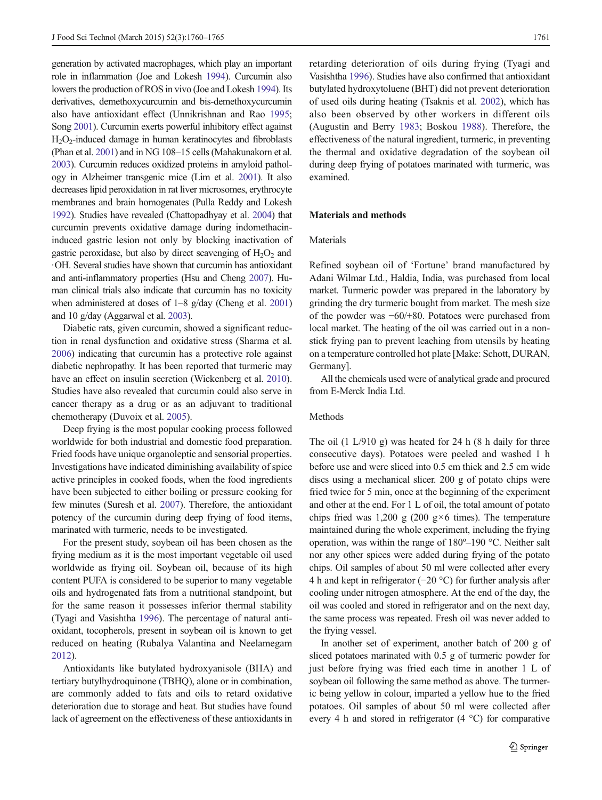generation by activated macrophages, which play an important role in inflammation (Joe and Lokesh [1994\)](#page-5-0). Curcumin also lowers the production of ROS in vivo (Joe and Lokesh [1994\)](#page-5-0). Its derivatives, demethoxycurcumin and bis-demethoxycurcumin also have antioxidant effect (Unnikrishnan and Rao [1995](#page-5-0); Song [2001\)](#page-5-0). Curcumin exerts powerful inhibitory effect against  $H<sub>2</sub>O<sub>2</sub>$ -induced damage in human keratinocytes and fibroblasts (Phan et al. [2001\)](#page-5-0) and in NG 108–15 cells (Mahakunakorn et al. [2003](#page-5-0)). Curcumin reduces oxidized proteins in amyloid pathology in Alzheimer transgenic mice (Lim et al. [2001\)](#page-5-0). It also decreases lipid peroxidation in rat liver microsomes, erythrocyte membranes and brain homogenates (Pulla Reddy and Lokesh [1992](#page-5-0)). Studies have revealed (Chattopadhyay et al. [2004\)](#page-5-0) that curcumin prevents oxidative damage during indomethacininduced gastric lesion not only by blocking inactivation of gastric peroxidase, but also by direct scavenging of  $H_2O_2$  and ·OH. Several studies have shown that curcumin has antioxidant and anti-inflammatory properties (Hsu and Cheng [2007](#page-5-0)). Human clinical trials also indicate that curcumin has no toxicity when administered at doses of 1–8 g/day (Cheng et al. [2001\)](#page-5-0) and 10 g/day (Aggarwal et al. [2003](#page-5-0)).

Diabetic rats, given curcumin, showed a significant reduction in renal dysfunction and oxidative stress (Sharma et al. [2006\)](#page-5-0) indicating that curcumin has a protective role against diabetic nephropathy. It has been reported that turmeric may have an effect on insulin secretion (Wickenberg et al. [2010\)](#page-5-0). Studies have also revealed that curcumin could also serve in cancer therapy as a drug or as an adjuvant to traditional chemotherapy (Duvoix et al. [2005\)](#page-5-0).

Deep frying is the most popular cooking process followed worldwide for both industrial and domestic food preparation. Fried foods have unique organoleptic and sensorial properties. Investigations have indicated diminishing availability of spice active principles in cooked foods, when the food ingredients have been subjected to either boiling or pressure cooking for few minutes (Suresh et al. [2007](#page-5-0)). Therefore, the antioxidant potency of the curcumin during deep frying of food items, marinated with turmeric, needs to be investigated.

For the present study, soybean oil has been chosen as the frying medium as it is the most important vegetable oil used worldwide as frying oil. Soybean oil, because of its high content PUFA is considered to be superior to many vegetable oils and hydrogenated fats from a nutritional standpoint, but for the same reason it possesses inferior thermal stability (Tyagi and Vasishtha [1996](#page-5-0)). The percentage of natural antioxidant, tocopherols, present in soybean oil is known to get reduced on heating (Rubalya Valantina and Neelamegam [2012\)](#page-5-0).

Antioxidants like butylated hydroxyanisole (BHA) and tertiary butylhydroquinone (TBHQ), alone or in combination, are commonly added to fats and oils to retard oxidative deterioration due to storage and heat. But studies have found lack of agreement on the effectiveness of these antioxidants in retarding deterioration of oils during frying (Tyagi and Vasishtha [1996](#page-5-0)). Studies have also confirmed that antioxidant butylated hydroxytoluene (BHT) did not prevent deterioration of used oils during heating (Tsaknis et al. [2002](#page-5-0)), which has also been observed by other workers in different oils (Augustin and Berry [1983](#page-5-0); Boskou [1988\)](#page-5-0). Therefore, the effectiveness of the natural ingredient, turmeric, in preventing the thermal and oxidative degradation of the soybean oil during deep frying of potatoes marinated with turmeric, was examined.

## Materials and methods

#### Materials

Refined soybean oil of 'Fortune' brand manufactured by Adani Wilmar Ltd., Haldia, India, was purchased from local market. Turmeric powder was prepared in the laboratory by grinding the dry turmeric bought from market. The mesh size of the powder was −60/+80. Potatoes were purchased from local market. The heating of the oil was carried out in a nonstick frying pan to prevent leaching from utensils by heating on a temperature controlled hot plate [Make: Schott, DURAN, Germany].

All the chemicals used were of analytical grade and procured from E-Merck India Ltd.

### Methods

The oil (1 L/910 g) was heated for 24 h (8 h daily for three consecutive days). Potatoes were peeled and washed 1 h before use and were sliced into 0.5 cm thick and 2.5 cm wide discs using a mechanical slicer. 200 g of potato chips were fried twice for 5 min, once at the beginning of the experiment and other at the end. For 1 L of oil, the total amount of potato chips fried was 1,200 g (200 g $\times$ 6 times). The temperature maintained during the whole experiment, including the frying operation, was within the range of 180º–190 °C. Neither salt nor any other spices were added during frying of the potato chips. Oil samples of about 50 ml were collected after every 4 h and kept in refrigerator (−20 °C) for further analysis after cooling under nitrogen atmosphere. At the end of the day, the oil was cooled and stored in refrigerator and on the next day, the same process was repeated. Fresh oil was never added to the frying vessel.

In another set of experiment, another batch of 200 g of sliced potatoes marinated with 0.5 g of turmeric powder for just before frying was fried each time in another 1 L of soybean oil following the same method as above. The turmeric being yellow in colour, imparted a yellow hue to the fried potatoes. Oil samples of about 50 ml were collected after every 4 h and stored in refrigerator (4 °C) for comparative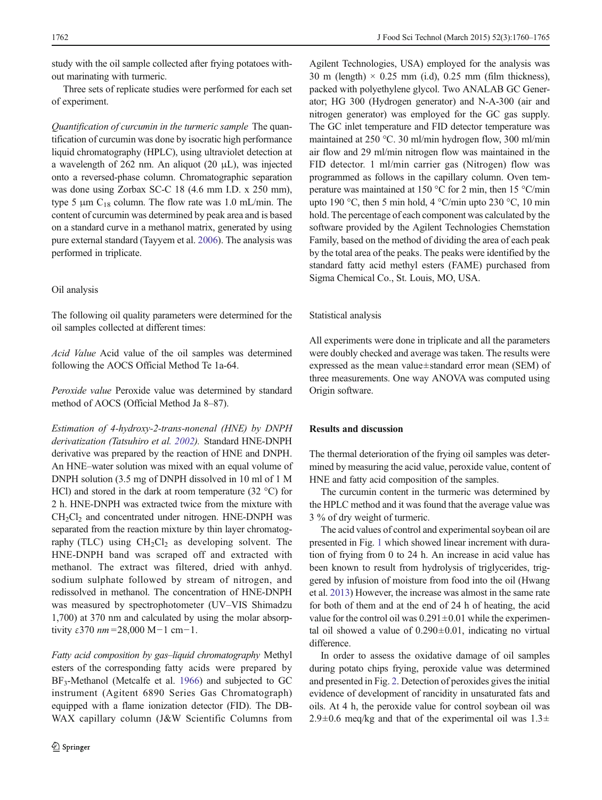study with the oil sample collected after frying potatoes without marinating with turmeric.

Three sets of replicate studies were performed for each set of experiment.

Quantification of curcumin in the turmeric sample The quantification of curcumin was done by isocratic high performance liquid chromatography (HPLC), using ultraviolet detection at a wavelength of 262 nm. An aliquot (20 μL), was injected onto a reversed-phase column. Chromatographic separation was done using Zorbax SC-C 18 (4.6 mm I.D. x 250 mm), type 5  $\mu$ m C<sub>18</sub> column. The flow rate was 1.0 mL/min. The content of curcumin was determined by peak area and is based on a standard curve in a methanol matrix, generated by using pure external standard (Tayyem et al. [2006](#page-5-0)). The analysis was performed in triplicate.

### Oil analysis

The following oil quality parameters were determined for the oil samples collected at different times:

Acid Value Acid value of the oil samples was determined following the AOCS Official Method Te 1a-64.

Peroxide value Peroxide value was determined by standard method of AOCS (Official Method Ja 8–87).

Estimation of 4-hydroxy-2-trans-nonenal (HNE) by DNPH derivatization (Tatsuhiro et al. [2002](#page-5-0)). Standard HNE-DNPH derivative was prepared by the reaction of HNE and DNPH. An HNE–water solution was mixed with an equal volume of DNPH solution (3.5 mg of DNPH dissolved in 10 ml of 1 M HCl) and stored in the dark at room temperature (32 °C) for 2 h. HNE-DNPH was extracted twice from the mixture with  $CH<sub>2</sub>Cl<sub>2</sub>$  and concentrated under nitrogen. HNE-DNPH was separated from the reaction mixture by thin layer chromatography (TLC) using  $CH<sub>2</sub>Cl<sub>2</sub>$  as developing solvent. The HNE-DNPH band was scraped off and extracted with methanol. The extract was filtered, dried with anhyd. sodium sulphate followed by stream of nitrogen, and redissolved in methanol. The concentration of HNE-DNPH was measured by spectrophotometer (UV–VIS Shimadzu 1,700) at 370 nm and calculated by using the molar absorptivity  $\epsilon$ 370 nm = 28,000 M−1 cm−1.

Fatty acid composition by gas–liquid chromatography Methyl esters of the corresponding fatty acids were prepared by BF<sub>3</sub>-Methanol (Metcalfe et al. [1966](#page-5-0)) and subjected to GC instrument (Agitent 6890 Series Gas Chromatograph) equipped with a flame ionization detector (FID). The DB-WAX capillary column (J&W Scientific Columns from Agilent Technologies, USA) employed for the analysis was 30 m (length)  $\times$  0.25 mm (i.d), 0.25 mm (film thickness), packed with polyethylene glycol. Two ANALAB GC Generator; HG 300 (Hydrogen generator) and N-A-300 (air and nitrogen generator) was employed for the GC gas supply. The GC inlet temperature and FID detector temperature was maintained at 250 °C. 30 ml/min hydrogen flow, 300 ml/min air flow and 29 ml/min nitrogen flow was maintained in the FID detector. 1 ml/min carrier gas (Nitrogen) flow was programmed as follows in the capillary column. Oven temperature was maintained at 150 °C for 2 min, then 15 °C/min upto 190 °C, then 5 min hold, 4 °C/min upto 230 °C, 10 min hold. The percentage of each component was calculated by the software provided by the Agilent Technologies Chemstation Family, based on the method of dividing the area of each peak by the total area of the peaks. The peaks were identified by the standard fatty acid methyl esters (FAME) purchased from Sigma Chemical Co., St. Louis, MO, USA.

## Statistical analysis

All experiments were done in triplicate and all the parameters were doubly checked and average was taken. The results were expressed as the mean value±standard error mean (SEM) of three measurements. One way ANOVA was computed using Origin software.

## Results and discussion

The thermal deterioration of the frying oil samples was determined by measuring the acid value, peroxide value, content of HNE and fatty acid composition of the samples.

The curcumin content in the turmeric was determined by the HPLC method and it was found that the average value was 3 % of dry weight of turmeric.

The acid values of control and experimental soybean oil are presented in Fig. [1](#page-3-0) which showed linear increment with duration of frying from 0 to 24 h. An increase in acid value has been known to result from hydrolysis of triglycerides, triggered by infusion of moisture from food into the oil (Hwang et al. [2013](#page-5-0)) However, the increase was almost in the same rate for both of them and at the end of 24 h of heating, the acid value for the control oil was  $0.291 \pm 0.01$  while the experimental oil showed a value of  $0.290 \pm 0.01$ , indicating no virtual difference.

In order to assess the oxidative damage of oil samples during potato chips frying, peroxide value was determined and presented in Fig. [2.](#page-3-0) Detection of peroxides gives the initial evidence of development of rancidity in unsaturated fats and oils. At 4 h, the peroxide value for control soybean oil was 2.9 $\pm$ 0.6 meq/kg and that of the experimental oil was 1.3 $\pm$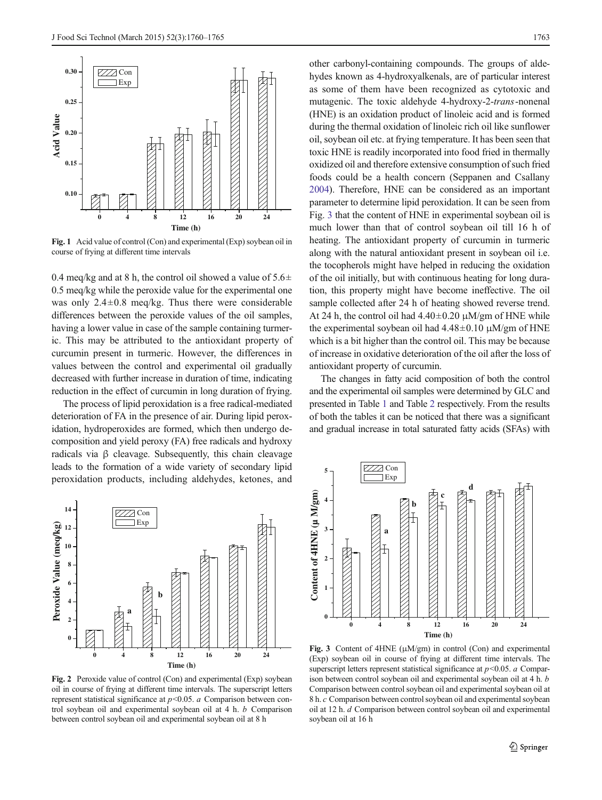<span id="page-3-0"></span>

Fig. 1 Acid value of control (Con) and experimental (Exp) soybean oil in course of frying at different time intervals

0.4 meq/kg and at 8 h, the control oil showed a value of  $5.6\pm$ 0.5 meq/kg while the peroxide value for the experimental one was only  $2.4\pm0.8$  meq/kg. Thus there were considerable differences between the peroxide values of the oil samples, having a lower value in case of the sample containing turmeric. This may be attributed to the antioxidant property of curcumin present in turmeric. However, the differences in values between the control and experimental oil gradually decreased with further increase in duration of time, indicating reduction in the effect of curcumin in long duration of frying.

The process of lipid peroxidation is a free radical-mediated deterioration of FA in the presence of air. During lipid peroxidation, hydroperoxides are formed, which then undergo decomposition and yield peroxy (FA) free radicals and hydroxy radicals via β cleavage. Subsequently, this chain cleavage leads to the formation of a wide variety of secondary lipid peroxidation products, including aldehydes, ketones, and



other carbonyl-containing compounds. The groups of aldehydes known as 4-hydroxyalkenals, are of particular interest as some of them have been recognized as cytotoxic and mutagenic. The toxic aldehyde 4-hydroxy-2-trans-nonenal (HNE) is an oxidation product of linoleic acid and is formed during the thermal oxidation of linoleic rich oil like sunflower oil, soybean oil etc. at frying temperature. It has been seen that toxic HNE is readily incorporated into food fried in thermally oxidized oil and therefore extensive consumption of such fried foods could be a health concern (Seppanen and Csallany [2004\)](#page-5-0). Therefore, HNE can be considered as an important parameter to determine lipid peroxidation. It can be seen from Fig. 3 that the content of HNE in experimental soybean oil is much lower than that of control soybean oil till 16 h of heating. The antioxidant property of curcumin in turmeric along with the natural antioxidant present in soybean oil i.e. the tocopherols might have helped in reducing the oxidation of the oil initially, but with continuous heating for long duration, this property might have become ineffective. The oil sample collected after 24 h of heating showed reverse trend. At 24 h, the control oil had  $4.40\pm0.20 \mu M/gm$  of HNE while the experimental soybean oil had  $4.48\pm0.10 \mu M/gm$  of HNE which is a bit higher than the control oil. This may be because of increase in oxidative deterioration of the oil after the loss of antioxidant property of curcumin.

The changes in fatty acid composition of both the control and the experimental oil samples were determined by GLC and presented in Table [1](#page-4-0) and Table [2](#page-4-0) respectively. From the results of both the tables it can be noticed that there was a significant and gradual increase in total saturated fatty acids (SFAs) with



Fig. 2 Peroxide value of control (Con) and experimental (Exp) soybean oil in course of frying at different time intervals. The superscript letters represent statistical significance at  $p$  < 0.05.  $a$  Comparison between control soybean oil and experimental soybean oil at 4 h. b Comparison between control soybean oil and experimental soybean oil at 8 h



Fig. 3 Content of 4HNE (μM/gm) in control (Con) and experimental (Exp) soybean oil in course of frying at different time intervals. The superscript letters represent statistical significance at  $p<0.05$ . a Comparison between control soybean oil and experimental soybean oil at 4 h. b Comparison between control soybean oil and experimental soybean oil at 8 h. c Comparison between control soybean oil and experimental soybean oil at 12 h. d Comparison between control soybean oil and experimental soybean oil at 16 h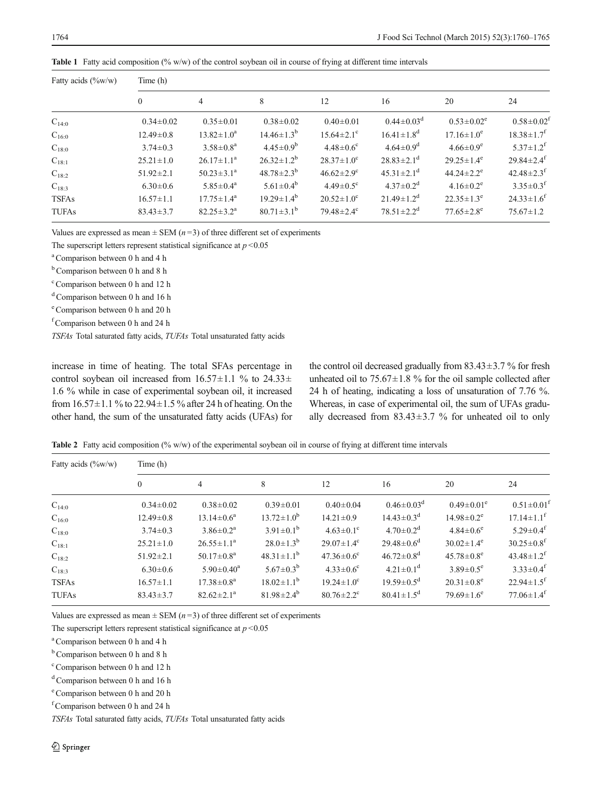| Fatty acids $(\%w/w)$ | Time (h)        |                         |                         |                              |                              |                              |                              |  |  |
|-----------------------|-----------------|-------------------------|-------------------------|------------------------------|------------------------------|------------------------------|------------------------------|--|--|
|                       | $\theta$        | $\overline{4}$          | 8                       | 12                           | 16                           | 20                           | 24                           |  |  |
| $C_{14:0}$            | $0.34 \pm 0.02$ | $0.35 \pm 0.01$         | $0.38 \pm 0.02$         | $0.40 \pm 0.01$              | $0.44 \pm 0.03$ <sup>d</sup> | $0.53 \pm 0.02^e$            | $0.58 \pm 0.02^1$            |  |  |
| $C_{16:0}$            | $12.49 \pm 0.8$ | $13.82 \pm 1.0^a$       | $14.46 \pm 1.3^b$       | $15.64 \pm 2.1$ <sup>c</sup> | $16.41 \pm 1.8$ <sup>d</sup> | $17.16 \pm 1.0^e$            | $18.38 \pm 1.7$ <sup>f</sup> |  |  |
| $C_{18:0}$            | $3.74 \pm 0.3$  | $3.58 \pm 0.8^a$        | $4.45 \pm 0.9^b$        | $4.48 \pm 0.6$ <sup>c</sup>  | $4.64 \pm 0.9$ <sup>d</sup>  | $4.66 \pm 0.9^e$             | $5.37 \pm 1.2$ <sup>f</sup>  |  |  |
| $C_{18:1}$            | $25.21 \pm 1.0$ | $26.17 \pm 1.1^a$       | $26.32 \pm 1.2^b$       | $28.37 \pm 1.0^{\circ}$      | $28.83 \pm 2.1$ <sup>d</sup> | $29.25 \pm 1.4^e$            | $29.84 \pm 2.4$ <sup>f</sup> |  |  |
| $C_{18:2}$            | $51.92 \pm 2.1$ | $50.23 \pm 3.1^{\circ}$ | $48.78 \pm 2.3^b$       | $46.62 \pm 2.9$ <sup>c</sup> | $45.31 \pm 2.1$ <sup>d</sup> | $44.24 \pm 2.2$ <sup>e</sup> | $42.48 \pm 2.3$ <sup>f</sup> |  |  |
| $C_{18:3}$            | $6.30 \pm 0.6$  | $5.85 \pm 0.4^a$        | $5.61 \pm 0.4^b$        | $4.49 \pm 0.5$ <sup>c</sup>  | $4.37 \pm 0.2$ <sup>d</sup>  | $4.16 \pm 0.2$ <sup>e</sup>  | $3.35 \pm 0.3$ <sup>f</sup>  |  |  |
| <b>TSFAs</b>          | $16.57 \pm 1.1$ | $17.75 \pm 1.4^{\rm a}$ | $19.29 \pm 1.4^b$       | $20.52 \pm 1.0^{\circ}$      | $21.49 \pm 1.2$ <sup>d</sup> | $22.35 \pm 1.3^e$            | $24.33 \pm 1.6^f$            |  |  |
| <b>TUFAs</b>          | $83.43 \pm 3.7$ | $82.25 \pm 3.2^a$       | $80.71 \pm 3.1^{\rm b}$ | $79.48 \pm 2.4$ <sup>c</sup> | $78.51 \pm 2.2^{\rm d}$      | $77.65 \pm 2.8$ <sup>e</sup> | $75.67 \pm 1.2$              |  |  |

<span id="page-4-0"></span>Table 1 Fatty acid composition (% w/w) of the control soybean oil in course of frying at different time intervals

Values are expressed as mean  $\pm$  SEM ( $n=3$ ) of three different set of experiments

The superscript letters represent statistical significance at  $p < 0.05$ 

a Comparison between 0 h and 4 h

<sup>b</sup> Comparison between 0 h and 8 h

c Comparison between 0 h and 12 h

<sup>d</sup> Comparison between 0 h and 16 h

e Comparison between 0 h and 20 h

f Comparison between 0 h and 24 h

TSFAs Total saturated fatty acids, TUFAs Total unsaturated fatty acids

increase in time of heating. The total SFAs percentage in control soybean oil increased from  $16.57 \pm 1.1$  % to  $24.33 \pm$ 1.6 % while in case of experimental soybean oil, it increased from  $16.57\pm1.1$  % to  $22.94\pm1.5$  % after 24 h of heating. On the other hand, the sum of the unsaturated fatty acids (UFAs) for the control oil decreased gradually from  $83.43 \pm 3.7$  % for fresh unheated oil to  $75.67 \pm 1.8$  % for the oil sample collected after 24 h of heating, indicating a loss of unsaturation of 7.76 %. Whereas, in case of experimental oil, the sum of UFAs gradually decreased from  $83.43 \pm 3.7$  % for unheated oil to only

**Table 2** Fatty acid composition  $(\% w/w)$  of the experimental soybean oil in course of frying at different time intervals

| Fatty acids $(\%w/w)$ | Time (h)        |                              |                    |                              |                              |                              |                              |  |  |
|-----------------------|-----------------|------------------------------|--------------------|------------------------------|------------------------------|------------------------------|------------------------------|--|--|
|                       | $\theta$        | $\overline{4}$               | 8                  | 12                           | 16                           | 20                           | 24                           |  |  |
| $C_{14:0}$            | $0.34 \pm 0.02$ | $0.38 \pm 0.02$              | $0.39 \pm 0.01$    | $0.40 \pm 0.04$              | $0.46 \pm 0.03$ <sup>d</sup> | $0.49 \pm 0.01^e$            | $0.51 \pm 0.01^t$            |  |  |
| $C_{16:0}$            | $12.49 \pm 0.8$ | $13.14 \pm 0.6^a$            | $13.72 \pm 1.0^b$  | $14.21 \pm 0.9$              | $14.43 \pm 0.3$ <sup>d</sup> | $14.98 \pm 0.2^e$            | $17.14 \pm 1.1$ <sup>f</sup> |  |  |
| $C_{18:0}$            | $3.74 \pm 0.3$  | $3.86 \pm 0.2^a$             | $3.91 \pm 0.1^b$   | $4.63 \pm 0.1$ <sup>c</sup>  | $4.70 \pm 0.2$ <sup>d</sup>  | $4.84 \pm 0.6^e$             | $5.29 \pm 0.4$ <sup>f</sup>  |  |  |
| $C_{18:1}$            | $25.21 \pm 1.0$ | $26.55 \pm 1.1^a$            | $28.0 \pm 1.3^{b}$ | $29.07 \pm 1.4^{\circ}$      | $29.48 \pm 0.6^d$            | $30.02 \pm 1.4^e$            | $30.25 \pm 0.8$ <sup>f</sup> |  |  |
| $C_{18:2}$            | $51.92 \pm 2.1$ | $50.17 \pm 0.8^{\mathrm{a}}$ | $48.31 \pm 1.1^b$  | $47.36 \pm 0.6$ <sup>c</sup> | $46.72 \pm 0.8$ <sup>d</sup> | $45.78 \pm 0.8$ <sup>e</sup> | $43.48 \pm 1.2$ <sup>f</sup> |  |  |
| $C_{18:3}$            | $6.30 \pm 0.6$  | $5.90 \pm 0.40^a$            | $5.67 \pm 0.3^b$   | $4.33 \pm 0.6^{\circ}$       | $4.21 \pm 0.1$ <sup>d</sup>  | $3.89 \pm 0.5^e$             | $3.33 \pm 0.4$ <sup>f</sup>  |  |  |
| <b>TSFAs</b>          | $16.57 \pm 1.1$ | $17.38 \pm 0.8^a$            | $18.02 \pm 1.1^b$  | $19.24 \pm 1.0^{\circ}$      | $19.59 \pm 0.5^{\rm d}$      | $20.31 \pm 0.8^e$            | $22.94 \pm 1.5$ <sup>f</sup> |  |  |
| <b>TUFAs</b>          | $83.43 \pm 3.7$ | $82.62 \pm 2.1^a$            | $81.98 \pm 2.4^b$  | $80.76 \pm 2.2$ <sup>c</sup> | $80.41 \pm 1.5$ <sup>d</sup> | $79.69 \pm 1.6^e$            | $77.06 \pm 1.4$ <sup>f</sup> |  |  |

Values are expressed as mean  $\pm$  SEM ( $n=3$ ) of three different set of experiments

The superscript letters represent statistical significance at  $p < 0.05$ 

a Comparison between 0 h and 4 h

 $<sup>b</sup>$  Comparison between 0 h and 8 h</sup>

c Comparison between 0 h and 12 h

 $d$  Comparison between 0 h and 16 h

e Comparison between 0 h and 20 h

f Comparison between 0 h and 24 h

TSFAs Total saturated fatty acids, TUFAs Total unsaturated fatty acids